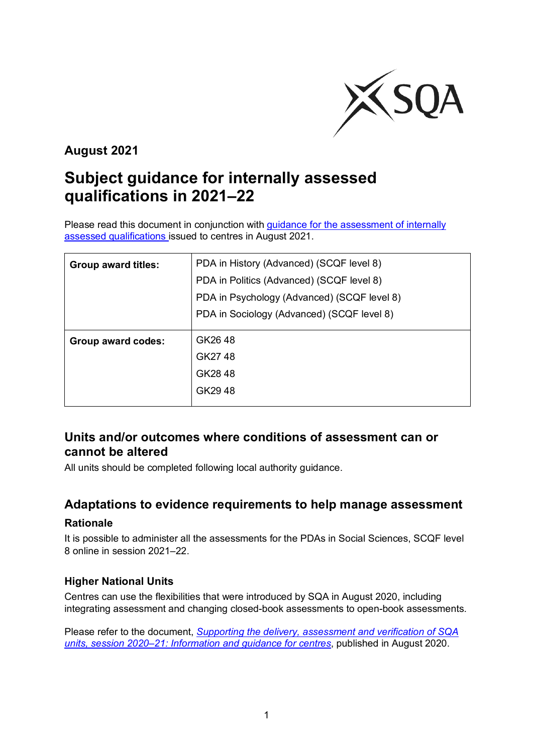

# **August 2021**

# **Subject guidance for internally assessed qualifications in 2021–22**

Please read this document in conjunction with guidance for the assessment of internally [assessed qualifications i](https://www.sqa.org.uk/sqa/95044.html)ssued to centres in August 2021.

| <b>Group award titles:</b> | PDA in History (Advanced) (SCQF level 8)    |
|----------------------------|---------------------------------------------|
|                            | PDA in Politics (Advanced) (SCQF level 8)   |
|                            | PDA in Psychology (Advanced) (SCQF level 8) |
|                            | PDA in Sociology (Advanced) (SCQF level 8)  |
|                            |                                             |
| Group award codes:         | GK2648                                      |
|                            | GK2748                                      |
|                            | GK2848                                      |
|                            | GK2948                                      |

## **Units and/or outcomes where conditions of assessment can or cannot be altered**

All units should be completed following local authority guidance.

## **Adaptations to evidence requirements to help manage assessment**

#### **Rationale**

It is possible to administer all the assessments for the PDAs in Social Sciences, SCQF level 8 online in session 2021–22.

#### **Higher National Units**

Centres can use the flexibilities that were introduced by SQA in August 2020, including integrating assessment and changing closed-book assessments to open-book assessments.

Please refer to the document, *[Supporting the delivery, assessment and verification of SQA](https://www.sqa.org.uk/sqa/files_ccc/Supporting-the-delivery-and-assessment-of-HNVQ-in-2020-21.pdf)  [units, session 2020–21: Information and guidance for centres](https://www.sqa.org.uk/sqa/files_ccc/Supporting-the-delivery-and-assessment-of-HNVQ-in-2020-21.pdf)*, published in August 2020.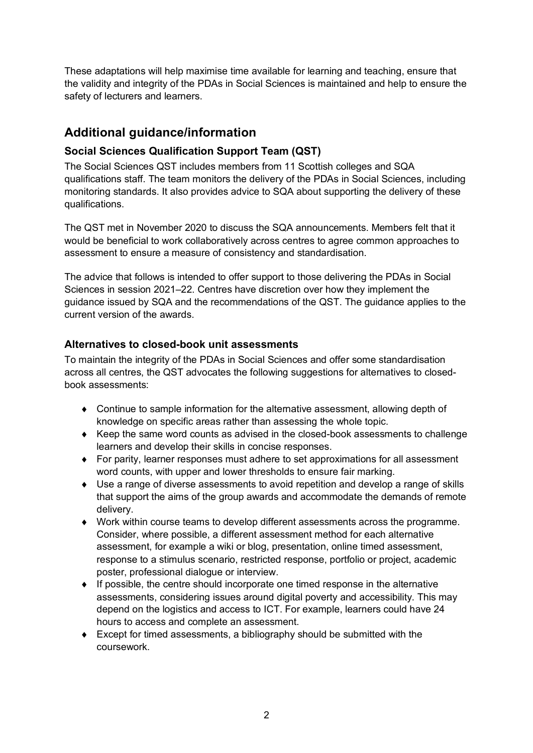These adaptations will help maximise time available for learning and teaching, ensure that the validity and integrity of the PDAs in Social Sciences is maintained and help to ensure the safety of lecturers and learners.

# **Additional guidance/information**

### **Social Sciences Qualification Support Team (QST)**

The Social Sciences QST includes members from 11 Scottish colleges and SQA qualifications staff. The team monitors the delivery of the PDAs in Social Sciences, including monitoring standards. It also provides advice to SQA about supporting the delivery of these qualifications.

The QST met in November 2020 to discuss the SQA announcements. Members felt that it would be beneficial to work collaboratively across centres to agree common approaches to assessment to ensure a measure of consistency and standardisation.

The advice that follows is intended to offer support to those delivering the PDAs in Social Sciences in session 2021–22. Centres have discretion over how they implement the guidance issued by SQA and the recommendations of the QST. The guidance applies to the current version of the awards.

#### **Alternatives to closed-book unit assessments**

To maintain the integrity of the PDAs in Social Sciences and offer some standardisation across all centres, the QST advocates the following suggestions for alternatives to closedbook assessments:

- ♦ Continue to sample information for the alternative assessment, allowing depth of knowledge on specific areas rather than assessing the whole topic.
- ♦ Keep the same word counts as advised in the closed-book assessments to challenge learners and develop their skills in concise responses.
- ♦ For parity, learner responses must adhere to set approximations for all assessment word counts, with upper and lower thresholds to ensure fair marking.
- ♦ Use a range of diverse assessments to avoid repetition and develop a range of skills that support the aims of the group awards and accommodate the demands of remote delivery.
- ♦ Work within course teams to develop different assessments across the programme. Consider, where possible, a different assessment method for each alternative assessment, for example a wiki or blog, presentation, online timed assessment, response to a stimulus scenario, restricted response, portfolio or project, academic poster, professional dialogue or interview.
- $\bullet$  If possible, the centre should incorporate one timed response in the alternative assessments, considering issues around digital poverty and accessibility. This may depend on the logistics and access to ICT. For example, learners could have 24 hours to access and complete an assessment.
- $\bullet$  Except for timed assessments, a bibliography should be submitted with the coursework.